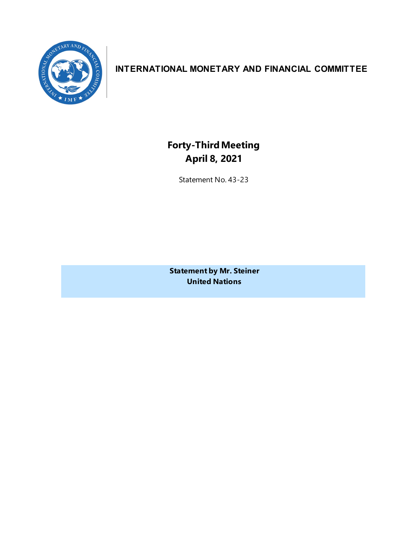

# **INTERNATIONAL MONETARY AND FINANCIAL COMMITTEE**

**Forty-ThirdMeeting April 8, 2021**

Statement No. 43-23

**Statement by Mr. Steiner United Nations**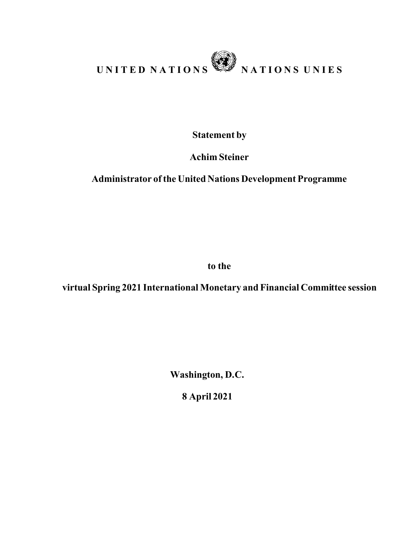

**Statement by**

**Achim Steiner**

## **Administrator of the United Nations Development Programme**

**to the**

**virtual Spring 2021 International Monetary and Financial Committee session** 

**Washington, D.C.** 

**8 April 2021**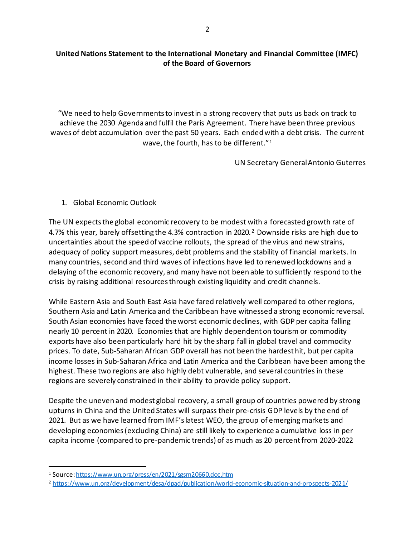#### **United Nations Statement to the International Monetary and Financial Committee (IMFC) of the Board of Governors**

"We need to help Governments to invest in a strong recovery that puts us back on track to achieve the 2030 Agenda and fulfil the Paris Agreement. There have been three previous waves of debt accumulation over the past 50 years. Each ended with a debt crisis. The current wave, the fourth, has to be different."[1](#page-3-0)

UN Secretary General Antonio Guterres

### 1. Global Economic Outlook

The UN expects the global economic recovery to be modest with a forecasted growth rate of 4.7% this year, barely offsetting the 4.3% contraction in [2](#page-3-1)020.<sup>2</sup> Downside risks are high due to uncertainties about the speed of vaccine rollouts, the spread of the virus and new strains, adequacy of policy support measures, debt problems and the stability of financial markets. In many countries, second and third waves of infections have led to renewed lockdowns and a delaying of the economic recovery, and many have not been able to sufficiently respond to the crisis by raising additional resources through existing liquidity and credit channels.

While Eastern Asia and South East Asia have fared relatively well compared to other regions, Southern Asia and Latin America and the Caribbean have witnessed a strong economic reversal. South Asian economies have faced the worst economic declines, with GDP per capita falling nearly 10 percent in 2020. Economies that are highly dependent on tourism or commodity exports have also been particularly hard hit by the sharp fall in global travel and commodity prices. To date, Sub-Saharan African GDP overall has not been the hardest hit, but per capita income losses in Sub-Saharan Africa and Latin America and the Caribbean have been among the highest. These two regions are also highly debt vulnerable, and several countries in these regions are severely constrained in their ability to provide policy support.

Despite the uneven and modest global recovery, a small group of countries powered by strong upturns in China and the United States will surpass their pre-crisis GDP levels by the end of 2021. But as we have learned from IMF's latest WEO, the group of emerging markets and developing economies (excluding China) are still likely to experience a cumulative loss in per capita income (compared to pre-pandemic trends) of as much as 20 percentfrom 2020-2022

<span id="page-3-0"></span><sup>1</sup> Source[: https://www.un.org/press/en/2021/sgsm20660.doc.htm](https://www.un.org/press/en/2021/sgsm20660.doc.htm)

<span id="page-3-1"></span><sup>2</sup> <https://www.un.org/development/desa/dpad/publication/world-economic-situation-and-prospects-2021/>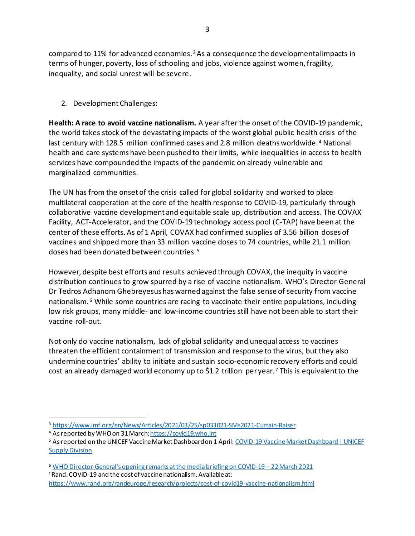compared to 11% for advanced economies.[3](#page-4-0)As a consequence the developmental impacts in terms of hunger, poverty, loss of schooling and jobs, violence against women, fragility, inequality, and social unrest will be severe.

2. Development Challenges:

**Health: A race to avoid vaccine nationalism.** A year after the onset of the COVID-19 pandemic, the world takes stock of the devastating impacts of the worst global public health crisis of the last century with 128.5 million confirmed cases and 2.8 million deaths worldwide.<sup>[4](#page-4-1)</sup> National health and care systems have been pushed to their limits, while inequalities in access to health services have compounded the impacts of the pandemic on already vulnerable and marginalized communities.

The UN has from the onset of the crisis called for global solidarity and worked to place multilateral cooperation at the core of the health response to COVID-19, particularly through collaborative vaccine development and equitable scale up, distribution and access. The COVAX Facility, ACT-Accelerator, and the COVID-19 technology access pool (C-TAP) have been at the center of these efforts. As of 1 April, COVAX had confirmed supplies of 3.56 billion doses of vaccines and shipped more than 33 million vaccine doses to 74 countries, while 21.1 million doses had been donated between countries. [5](#page-4-2)

However, despite best efforts and results achieved through COVAX, the inequity in vaccine distribution continues to grow spurred by a rise of vaccine nationalism. WHO's Director General Dr Tedros Adhanom Ghebreyesus has warned against the false sense of security from vaccine nationalism.<sup>[6](#page-4-3)</sup> While some countries are racing to vaccinate their entire populations, including low risk groups, many middle- and low-income countries still have not been able to start their vaccine roll-out.

Not only do vaccine nationalism, lack of global solidarity and unequal access to vaccines threaten the efficient containment of transmission and response to the virus, but they also undermine countries' ability to initiate and sustain socio-economic recovery efforts and could cost an already damaged world economy up to \$1.2 trillion per year.<sup>[7](#page-4-4)</sup> This is equivalent to the

<span id="page-4-0"></span><sup>3</sup> <https://www.imf.org/en/News/Articles/2021/03/25/sp033021-SMs2021-Curtain-Raiser>

<span id="page-4-2"></span><span id="page-4-1"></span><sup>&</sup>lt;sup>4</sup> As reported by WHO on 31 March: <u>https://covid19.who.int</u><br><sup>5</sup> As reported on the UNICEF Vaccine Market Dashboard on 1 April: <u>COVID-19 Vaccine Market Dashboard | UNICEF</u> **[Supply Division](https://www.unicef.org/supply/covid-19-vaccine-market-dashboard)** 

<span id="page-4-3"></span><sup>6</sup> [WHO Director-General's opening remarks at the media briefing on COVID-19 –](https://www.who.int/director-general/speeches/detail/who-director-general-s-opening-remarks-at-the-media-briefing-on-covid-19-22-march-2021) 22 March 2021 <sup>7</sup> Rand. COVID-19 and the cost of vaccine nationalism. Available at:

<span id="page-4-4"></span><https://www.rand.org/randeurope/research/projects/cost-of-covid19-vaccine-nationalism.html>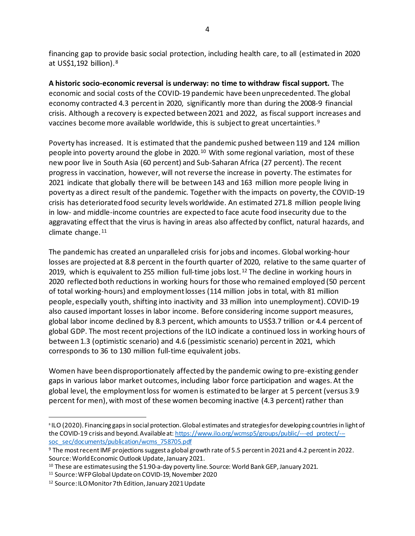financing gap to provide basic social protection, including health care, to all (estimated in 2020 at US\$1,192 billion).[8](#page-5-0)

**A historic socio-economic reversal is underway: no time to withdraw fiscal support.** The economic and social costs of the COVID-19 pandemic have been unprecedented. The global economy contracted 4.3 percent in 2020, significantly more than during the 2008-9 financial crisis. Although a recovery is expected between 2021 and 2022, as fiscal support increases and vaccines become more available worldwide, this is subject to great uncertainties.<sup>[9](#page-5-1)</sup>

Poverty has increased. It is estimated that the pandemic pushed between 119 and 124 million people into poverty around the globe in 2020.[10](#page-5-2) With some regional variation, most of these new poor live in South Asia (60 percent) and Sub-Saharan Africa (27 percent). The recent progress in vaccination, however, will not reverse the increase in poverty. The estimates for 2021 indicate that globally there will be between 143 and 163 million more people living in poverty as a direct result of the pandemic. Together with the impacts on poverty, the COVID-19 crisis has deteriorated food security levels worldwide. An estimated 271.8 million people living in low- and middle-income countries are expected to face acute food insecurity due to the aggravating effect that the virus is having in areas also affected by conflict, natural hazards, and climate change.<sup>[11](#page-5-3)</sup>

The pandemic has created an unparalleled crisis for jobs and incomes. Global working-hour losses are projected at 8.8 percent in the fourth quarter of 2020, relative to the same quarter of 2019, which is equivalent to 255 million full-time jobs lost.<sup>[12](#page-5-4)</sup> The decline in working hours in 2020 reflected both reductions in working hours for those who remained employed (50 percent of total working-hours) and employment losses (114 million jobs in total, with 81 million people, especially youth, shifting into inactivity and 33 million into unemployment). COVID-19 also caused important losses in labor income. Before considering income support measures, global labor income declined by 8.3 percent, which amounts to US\$3.7 trillion or 4.4 percent of global GDP. The most recent projections of the ILO indicate a continued loss in working hours of between 1.3 (optimistic scenario) and 4.6 (pessimistic scenario) percent in 2021, which corresponds to 36 to 130 million full-time equivalent jobs.

Women have been disproportionately affected by the pandemic owing to pre-existing gender gaps in various labor market outcomes, including labor force participation and wages. At the global level, the employment loss for women is estimated to be larger at 5 percent (versus 3.9 percent for men), with most of these women becoming inactive (4.3 percent) rather than

<span id="page-5-0"></span><sup>&</sup>lt;sup>8</sup> ILO (2020). Financing gaps in social protection. Global estimates and strategies for developing countries in light of the COVID-19 crisis and beyond. Available at[: https://www.ilo.org/wcmsp5/groups/public/---ed\\_protect/--](https://www.ilo.org/wcmsp5/groups/public/---ed_protect/---soc_sec/documents/publication/wcms_758705.pdf) [soc\\_sec/documents/publication/wcms\\_758705.pdf](https://www.ilo.org/wcmsp5/groups/public/---ed_protect/---soc_sec/documents/publication/wcms_758705.pdf)

<span id="page-5-1"></span><sup>9</sup> The most recent IMF projections suggest a global growth rate of 5.5 percent in 2021 and 4.2 percent in 2022. Source: World Economic Outlook Update, January 2021.

<span id="page-5-2"></span><sup>&</sup>lt;sup>10</sup> These are estimates using the \$1.90-a-day poverty line. Source: World Bank GEP, January 2021.

<span id="page-5-3"></span><sup>11</sup> Source: WFP Global Update on COVID-19, November 2020

<span id="page-5-4"></span><sup>&</sup>lt;sup>12</sup> Source: ILO Monitor 7th Edition, January 2021 Update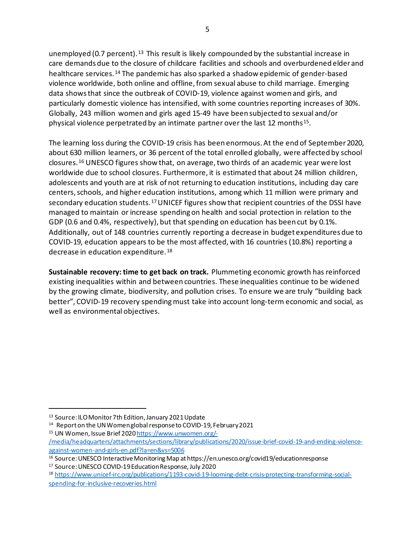unemployed (0.7 percent).<sup>[13](#page-6-0)</sup> This result is likely compounded by the substantial increase in care demands due to the closure of childcare facilities and schools and overburdened elder and healthcare services.[14](#page-6-1) The pandemic has also sparked a shadow epidemic of gender-based violence worldwide, both online and offline, from sexual abuse to child marriage. Emerging data shows that since the outbreak of COVID-19, violence against women and girls, and particularly domestic violence has intensified, with some countries reporting increases of 30%. Globally, 243 million women and girls aged 15-49 have been subjected to sexual and/or physical violence perpetrated by an intimate partner over the last 12 months<sup>[15](#page-6-2)</sup>.

The learning loss during the COVID-19 crisis has been enormous. At the end of September 2020, about 630 million learners, or 36 percent of the total enrolled globally, were affected by school closures.[16](#page-6-3) UNESCO figures show that, on average, two thirds of an academic year were lost worldwide due to school closures. Furthermore, it is estimated that about 24 million children, adolescents and youth are at risk of not returning to education institutions, including day care centers, schools, and higher education institutions, among which 11 million were primary and secondary education students.[17](#page-6-4)UNICEF figures show that recipient countries of the DSSI have managed to maintain or increase spending on health and social protection in relation to the GDP (0.6 and 0.4%, respectively), but that spending on education has been cut by 0.1%. Additionally, out of 148 countries currently reporting a decrease in budget expenditures due to COVID-19, education appears to be the most affected, with 16 countries (10.8%) reporting a decrease in education expenditure. [18](#page-6-5)

**Sustainable recovery: time to get back on track.** Plummeting economic growth has reinforced existing inequalities within and between countries. These inequalities continue to be widened by the growing climate, biodiversity, and pollution crises. To ensure we are truly "building back better", COVID-19 recovery spending must take into account long-term economic and social, as well as environmental objectives.

<span id="page-6-4"></span><sup>17</sup> Source: UNESCO COVID-19 Education Response, July 2020

<span id="page-6-0"></span><sup>13</sup> Source: ILO Monitor 7th Edition, January 2021 Update

<span id="page-6-1"></span><sup>&</sup>lt;sup>14</sup> Report on the UN Women global response to COVID-19, February 2021

<span id="page-6-2"></span><sup>15</sup> UN Women, Issue Brief 202[0 https://www.unwomen.org/-](https://www.unwomen.org/-/media/headquarters/attachments/sections/library/publications/2020/issue-brief-covid-19-and-ending-violence-against-women-and-girls-en.pdf?la=en&vs=5006)

[<sup>/</sup>media/headquarters/attachments/sections/library/publications/2020/issue-brief-covid-19-and-ending-violence](https://www.unwomen.org/-/media/headquarters/attachments/sections/library/publications/2020/issue-brief-covid-19-and-ending-violence-against-women-and-girls-en.pdf?la=en&vs=5006)[against-women-and-girls-en.pdf?la=en&vs=5006](https://www.unwomen.org/-/media/headquarters/attachments/sections/library/publications/2020/issue-brief-covid-19-and-ending-violence-against-women-and-girls-en.pdf?la=en&vs=5006)

<span id="page-6-3"></span><sup>16</sup> Source: UNESCO Interactive Monitoring Map at https://en.unesco.org/covid19/educationresponse

<span id="page-6-5"></span><sup>18</sup> [https://www.unicef-irc.org/publications/1193-covid-19-looming-debt-crisis-protecting-transforming-social](https://www.unicef-irc.org/publications/1193-covid-19-looming-debt-crisis-protecting-transforming-social-spending-for-inclusive-recoveries.html)[spending-for-inclusive-recoveries.html](https://www.unicef-irc.org/publications/1193-covid-19-looming-debt-crisis-protecting-transforming-social-spending-for-inclusive-recoveries.html)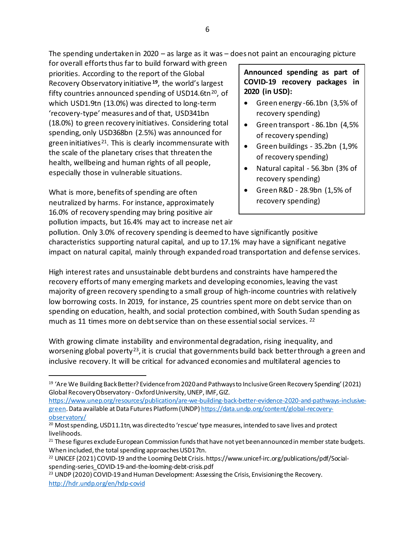The spending undertaken in 2020 – as large as it was – does not paint an encouraging picture

for overall efforts thus far to build forward with green priorities. According to the report of the Global Recovery Observatory initiative **[19](#page-7-0)**, the world's largest fifty countries announced spending of USD14.6tn $^{20}$  $^{20}$  $^{20}$ , of which USD1.9tn (13.0%) was directed to long-term 'recovery-type' measures and of that, USD341bn (18.0%) to green recovery initiatives. Considering total spending, only USD368bn (2.5%) was announced for green initiatives<sup>21</sup>. This is clearly incommensurate with the scale of the planetary crises that threaten the health, wellbeing and human rights of all people, especially those in vulnerable situations.

What is more, benefits of spending are often neutralized by harms. For instance, approximately 16.0% of recovery spending may bring positive air pollution impacts, but 16.4% may act to increase net air **Announced spending as part of COVID-19 recovery packages in 2020 (in USD):**

- Green energy -66.1bn (3,5% of recovery spending)
- Green transport 86.1bn (4,5% of recovery spending)
- Green buildings 35.2bn (1,9% of recovery spending)
- Natural capital 56.3bn (3% of recovery spending)
- Green R&D 28.9bn (1,5% of recovery spending)

pollution. Only 3.0% of recovery spending is deemed to have significantly positive characteristics supporting natural capital, and up to 17.1% may have a significant negative impact on natural capital, mainly through expanded road transportation and defense services.

High interest rates and unsustainable debt burdens and constraints have hampered the recovery efforts of many emerging markets and developing economies, leaving the vast majority of green recovery spending to a small group of high-income countries with relatively low borrowing costs. In 2019, for instance, 25 countries spent more on debt service than on spending on education, health, and social protection combined, with South Sudan spending as much as 11 times more on debt service than on these essential social services.  $^{22}$  $^{22}$  $^{22}$ 

With growing climate instability and environmental degradation, rising inequality, and worsening global poverty<sup>23</sup>, it is crucial that governments build back better through a green and inclusive recovery. It will be critical for advanced economies and multilateral agencies to

<span id="page-7-0"></span><sup>19</sup> 'Are We Building Back Better? Evidence from 2020 and Pathways to Inclusive Green Recovery Spending'(2021) Global Recovery Observatory -Oxford University, UNEP, IMF, GIZ.

[https://www.unep.org/resources/publication/are-we-building-back-better-evidence-2020-and-pathways-inclusive](https://www.unep.org/resources/publication/are-we-building-back-better-evidence-2020-and-pathways-inclusive-green)[green.](https://www.unep.org/resources/publication/are-we-building-back-better-evidence-2020-and-pathways-inclusive-green) Data available at Data Futures Platform (UNDP[\) https://data.undp.org/content/global-recovery](https://data.undp.org/content/global-recovery-observatory/)[observatory/](https://data.undp.org/content/global-recovery-observatory/)

<span id="page-7-1"></span> $20$  Most spending, USD11.1tn, was directed to 'rescue' type measures, intended to save lives and protect livelihoods.

<span id="page-7-2"></span><sup>&</sup>lt;sup>21</sup> These figures exclude European Commission funds that have not yet been announced in member state budgets. When included, the total spending approaches USD17tn.

<span id="page-7-3"></span><sup>&</sup>lt;sup>22</sup> UNICEF (2021) COVID-19 and the Looming Debt Crisis. https://www.unicef-irc.org/publications/pdf/Socialspending-series\_COVID-19-and-the-looming-debt-crisis.pdf

<span id="page-7-4"></span><sup>&</sup>lt;sup>23</sup> UNDP (2020) COVID-19 and Human Development: Assessing the Crisis, Envisioning the Recovery. <http://hdr.undp.org/en/hdp-covid>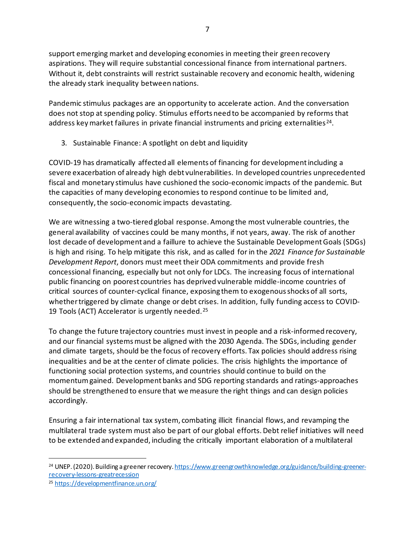support emerging market and developing economies in meeting their green recovery aspirations. They will require substantial concessional finance from international partners. Without it, debt constraints will restrict sustainable recovery and economic health, widening the already stark inequality between nations.

Pandemic stimulus packages are an opportunity to accelerate action. And the conversation does not stop at spending policy. Stimulus efforts need to be accompanied by reforms that address key market failures in private financial instruments and pricing externalities<sup>24</sup>.

3. Sustainable Finance: A spotlight on debt and liquidity

COVID-19 has dramatically affected all elements of financing for development including a severe exacerbation of already high debt vulnerabilities. In developed countries unprecedented fiscal and monetary stimulus have cushioned the socio-economic impacts of the pandemic. But the capacities of many developing economies to respond continue to be limited and, consequently, the socio-economic impacts devastating.

We are witnessing a two-tiered global response. Among the most vulnerable countries, the general availability of vaccines could be many months, if not years, away. The risk of another lost decade of development and a faillure to achieve the Sustainable Development Goals (SDGs) is high and rising. To help mitigate this risk, and as called for in the *2021 Finance for Sustainable Development Report*, donors must meet their ODA commitments and provide fresh concessional financing, especially but not only for LDCs. The increasing focus of international public financing on poorest countries has deprived vulnerable middle-income countries of critical sources of counter-cyclical finance, exposing them to exogenous shocks of all sorts, whether triggered by climate change or debt crises. In addition, fully funding access to COVID-19 Tools (ACT) Accelerator is urgently needed.[25](#page-8-1)

To change the future trajectory countries must invest in people and a risk-informed recovery, and our financial systems must be aligned with the 2030 Agenda. The SDGs, including gender and climate targets, should be the focus of recovery efforts. Tax policies should address rising inequalities and be at the center of climate policies. The crisis highlights the importance of functioning social protection systems, and countries should continue to build on the momentumgained. Development banks and SDG reporting standards and ratings-approaches should be strengthened to ensure that we measure the right things and can design policies accordingly.

Ensuring a fair international tax system, combating illicit financial flows, and revamping the multilateral trade system must also be part of our global efforts. Debt relief initiatives will need to be extended and expanded, including the critically important elaboration of a multilateral

<span id="page-8-0"></span><sup>&</sup>lt;sup>24</sup> UNEP. (2020). Building a greener recovery[. https://www.greengrowthknowledge.org/guidance/building-greener](https://www.greengrowthknowledge.org/guidance/building-greener-recovery-lessons-greatrecession)[recovery-lessons-greatrecession](https://www.greengrowthknowledge.org/guidance/building-greener-recovery-lessons-greatrecession)

<span id="page-8-1"></span><sup>25</sup> <https://developmentfinance.un.org/>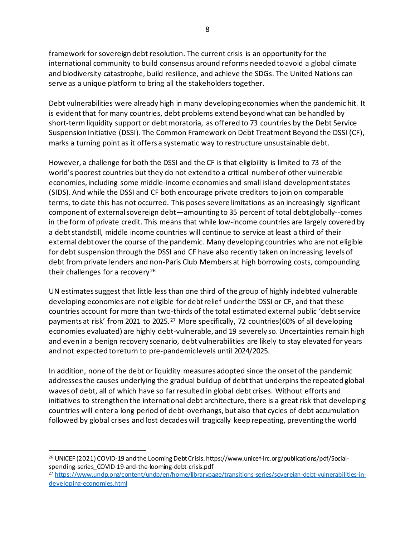framework for sovereign debt resolution. The current crisis is an opportunity for the international community to build consensus around reforms needed to avoid a global climate and biodiversity catastrophe, build resilience, and achieve the SDGs. The United Nations can serve as a unique platform to bring all the stakeholders together.

Debt vulnerabilities were already high in many developing economies when the pandemic hit. It is evident that for many countries, debt problems extend beyond what can be handled by short-term liquidity support or debt moratoria, as offered to 73 countries by the Debt Service Suspension Initiative (DSSI). The Common Framework on Debt Treatment Beyond the DSSI (CF), marks a turning point as it offers a systematic way to restructure unsustainable debt.

However, a challenge for both the DSSI and the CF is that eligibility is limited to 73 of the world's poorest countries but they do not extend to a critical number of other vulnerable economies, including some middle-income economies and small island development states (SIDS). And while the DSSI and CF both encourage private creditors to join on comparable terms, to date this has not occurred. This poses severe limitations as an increasingly significant component of external sovereign debt—amounting to 35 percent of total debt globally--comes in the form of private credit. This means that while low-income countries are largely covered by a debt standstill, middle income countries will continue to service at least a third of their external debt over the course of the pandemic. Many developing countries who are not eligible for debt suspension through the DSSI and CF have also recently taken on increasing levels of debt from private lenders and non-Paris Club Members at high borrowing costs, compounding their challenges for a recovery<sup>[26](#page-9-0)</sup>

UN estimates suggest that little less than one third of the group of highly indebted vulnerable developing economies are not eligible for debt relief under the DSSI or CF, and that these countries account for more than two-thirds of the total estimated external public 'debt service payments at risk' from 2021 to 2025.<sup>[27](#page-9-1)</sup> More specifically, 72 countries(60% of all developing economies evaluated) are highly debt-vulnerable, and 19 severely so. Uncertainties remain high and even in a benign recovery scenario, debt vulnerabilities are likely to stay elevated for years and not expected to return to pre-pandemic levels until 2024/2025.

In addition, none of the debt or liquidity measures adopted since the onset of the pandemic addresses the causes underlying the gradual buildup of debt that underpins the repeated global waves of debt, all of which have so far resulted in global debt crises. Without efforts and initiatives to strengthen the international debt architecture, there is a great risk that developing countries will enter a long period of debt-overhangs, but also that cycles of debt accumulation followed by global crises and lost decades will tragically keep repeating, preventing the world

<span id="page-9-0"></span><sup>26</sup> UNICEF (2021) COVID-19 and the Looming Debt Crisis. https://www.unicef-irc.org/publications/pdf/Socialspending-series\_COVID-19-and-the-looming-debt-crisis.pdf

<span id="page-9-1"></span><sup>27</sup> [https://www.undp.org/content/undp/en/home/librarypage/transitions-series/sovereign-debt-vulnerabilities-in](https://www.undp.org/content/undp/en/home/librarypage/transitions-series/sovereign-debt-vulnerabilities-in-developing-economies.html)[developing-economies.html](https://www.undp.org/content/undp/en/home/librarypage/transitions-series/sovereign-debt-vulnerabilities-in-developing-economies.html)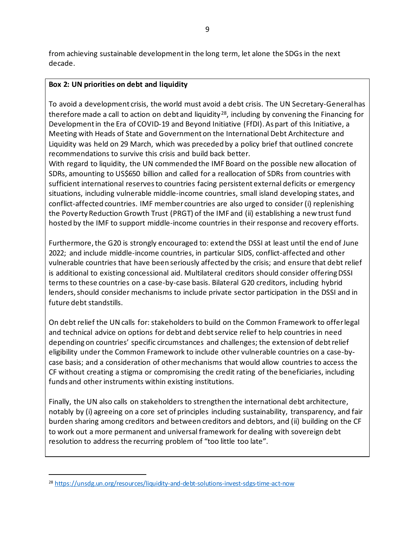from achieving sustainable development in the long term, let alone the SDGs in the next decade.

#### **Box 2: UN priorities on debt and liquidity**

To avoid a development crisis, the world must avoid a debt crisis. The UN Secretary-General has therefore made a call to action on debt and liquidity<sup>[28](#page-10-0)</sup>, including by convening the Financing for Development in the Era of COVID-19 and Beyond Initiative (FfDI). As part of this Initiative, a Meeting with Heads of State and Government on the International Debt Architecture and Liquidity was held on 29 March, which was preceded by a policy brief that outlined concrete recommendations to survive this crisis and build back better.

With regard to liquidity, the UN commended the IMF Board on the possible new allocation of SDRs, amounting to US\$650 billion and called for a reallocation of SDRs from countries with sufficient international reserves to countries facing persistent external deficits or emergency situations, including vulnerable middle-income countries, small island developing states, and conflict-affected countries. IMF member countries are also urged to consider (i) replenishing the Poverty Reduction Growth Trust (PRGT) of the IMF and (ii) establishing a new trust fund hosted by the IMF to support middle-income countries in their response and recovery efforts.

Furthermore, the G20 is strongly encouraged to: extend the DSSI at least until the end of June 2022; and include middle-income countries, in particular SIDS, conflict-affected and other vulnerable countries that have been seriously affected by the crisis; and ensure that debt relief is additional to existing concessional aid. Multilateral creditors should consider offering DSSI terms to these countries on a case-by-case basis. Bilateral G20 creditors, including hybrid lenders, should consider mechanisms to include private sector participation in the DSSI and in future debt standstills.

On debt relief the UN calls for: stakeholders to build on the Common Framework to offer legal and technical advice on options for debt and debt service relief to help countries in need depending on countries' specific circumstances and challenges; the extension of debt relief eligibility under the Common Framework to include other vulnerable countries on a case-bycase basis; and a consideration of other mechanisms that would allow countries to access the CF without creating a stigma or compromising the credit rating of the beneficiaries, including funds and other instruments within existing institutions.

Finally, the UN also calls on stakeholders to strengthen the international debt architecture, notably by (i) agreeing on a core set of principles including sustainability, transparency, and fair burden sharing among creditors and between creditors and debtors, and (ii) building on the CF to work out a more permanent and universal framework for dealing with sovereign debt resolution to address the recurring problem of "too little too late".

<span id="page-10-0"></span><sup>28</sup> <https://unsdg.un.org/resources/liquidity-and-debt-solutions-invest-sdgs-time-act-now>